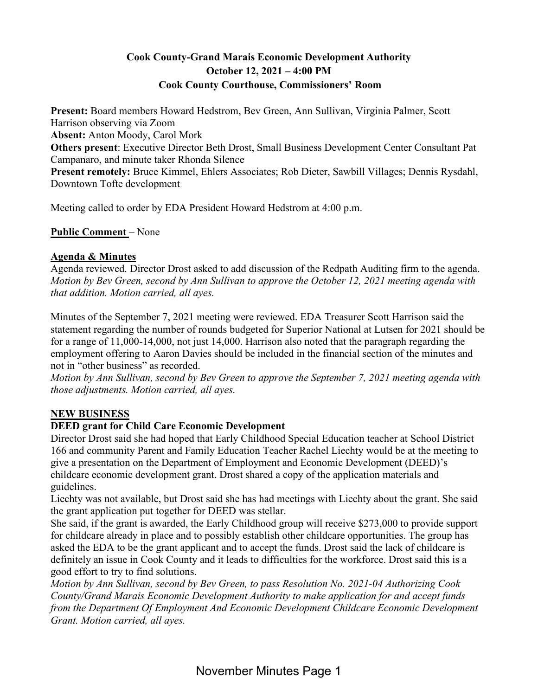# **Cook County-Grand Marais Economic Development Authority October 12, 2021 – 4:00 PM Cook County Courthouse, Commissioners' Room**

**Present:** Board members Howard Hedstrom, Bev Green, Ann Sullivan, Virginia Palmer, Scott Harrison observing via Zoom **Absent:** Anton Moody, Carol Mork

**Others present**: Executive Director Beth Drost, Small Business Development Center Consultant Pat Campanaro, and minute taker Rhonda Silence

**Present remotely:** Bruce Kimmel, Ehlers Associates; Rob Dieter, Sawbill Villages; Dennis Rysdahl, Downtown Tofte development

Meeting called to order by EDA President Howard Hedstrom at 4:00 p.m.

**Public Comment** – None

## **Agenda & Minutes**

Agenda reviewed. Director Drost asked to add discussion of the Redpath Auditing firm to the agenda. *Motion by Bev Green, second by Ann Sullivan to approve the October 12, 2021 meeting agenda with that addition. Motion carried, all ayes.* 

Minutes of the September 7, 2021 meeting were reviewed. EDA Treasurer Scott Harrison said the statement regarding the number of rounds budgeted for Superior National at Lutsen for 2021 should be for a range of 11,000-14,000, not just 14,000. Harrison also noted that the paragraph regarding the employment offering to Aaron Davies should be included in the financial section of the minutes and not in "other business" as recorded.

*Motion by Ann Sullivan, second by Bev Green to approve the September 7, 2021 meeting agenda with those adjustments. Motion carried, all ayes.* 

# **NEW BUSINESS**

# **DEED grant for Child Care Economic Development**

Director Drost said she had hoped that Early Childhood Special Education teacher at School District 166 and community Parent and Family Education Teacher Rachel Liechty would be at the meeting to give a presentation on the Department of Employment and Economic Development (DEED)'s childcare economic development grant. Drost shared a copy of the application materials and guidelines.

Liechty was not available, but Drost said she has had meetings with Liechty about the grant. She said the grant application put together for DEED was stellar.

She said, if the grant is awarded, the Early Childhood group will receive \$273,000 to provide support for childcare already in place and to possibly establish other childcare opportunities. The group has asked the EDA to be the grant applicant and to accept the funds. Drost said the lack of childcare is definitely an issue in Cook County and it leads to difficulties for the workforce. Drost said this is a good effort to try to find solutions.

*Motion by Ann Sullivan, second by Bev Green, to pass Resolution No. 2021-04 Authorizing Cook County/Grand Marais Economic Development Authority to make application for and accept funds from the Department Of Employment And Economic Development Childcare Economic Development Grant. Motion carried, all ayes.*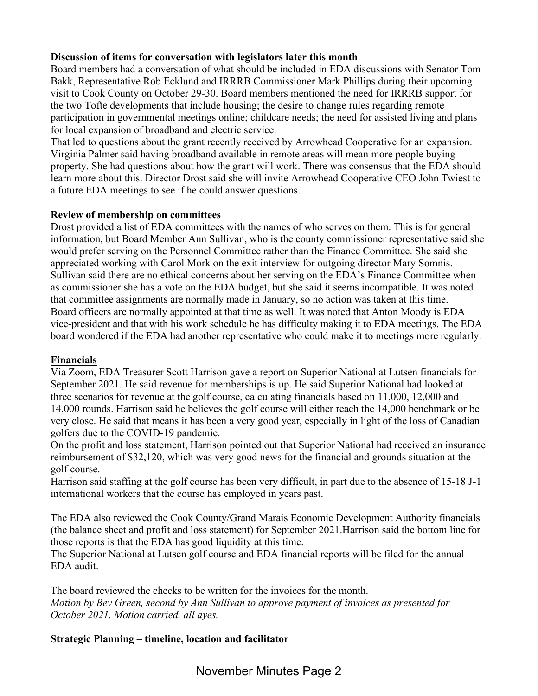## **Discussion of items for conversation with legislators later this month**

Board members had a conversation of what should be included in EDA discussions with Senator Tom Bakk, Representative Rob Ecklund and IRRRB Commissioner Mark Phillips during their upcoming visit to Cook County on October 29-30. Board members mentioned the need for IRRRB support for the two Tofte developments that include housing; the desire to change rules regarding remote participation in governmental meetings online; childcare needs; the need for assisted living and plans for local expansion of broadband and electric service.

That led to questions about the grant recently received by Arrowhead Cooperative for an expansion. Virginia Palmer said having broadband available in remote areas will mean more people buying property. She had questions about how the grant will work. There was consensus that the EDA should learn more about this. Director Drost said she will invite Arrowhead Cooperative CEO John Twiest to a future EDA meetings to see if he could answer questions.

#### **Review of membership on committees**

Drost provided a list of EDA committees with the names of who serves on them. This is for general information, but Board Member Ann Sullivan, who is the county commissioner representative said she would prefer serving on the Personnel Committee rather than the Finance Committee. She said she appreciated working with Carol Mork on the exit interview for outgoing director Mary Somnis. Sullivan said there are no ethical concerns about her serving on the EDA's Finance Committee when as commissioner she has a vote on the EDA budget, but she said it seems incompatible. It was noted that committee assignments are normally made in January, so no action was taken at this time. Board officers are normally appointed at that time as well. It was noted that Anton Moody is EDA vice-president and that with his work schedule he has difficulty making it to EDA meetings. The EDA board wondered if the EDA had another representative who could make it to meetings more regularly.

#### **Financials**

Via Zoom, EDA Treasurer Scott Harrison gave a report on Superior National at Lutsen financials for September 2021. He said revenue for memberships is up. He said Superior National had looked at three scenarios for revenue at the golf course, calculating financials based on 11,000, 12,000 and 14,000 rounds. Harrison said he believes the golf course will either reach the 14,000 benchmark or be very close. He said that means it has been a very good year, especially in light of the loss of Canadian golfers due to the COVID-19 pandemic.

On the profit and loss statement, Harrison pointed out that Superior National had received an insurance reimbursement of \$32,120, which was very good news for the financial and grounds situation at the golf course.

Harrison said staffing at the golf course has been very difficult, in part due to the absence of 15-18 J-1 international workers that the course has employed in years past.

The EDA also reviewed the Cook County/Grand Marais Economic Development Authority financials (the balance sheet and profit and loss statement) for September 2021.Harrison said the bottom line for those reports is that the EDA has good liquidity at this time.

The Superior National at Lutsen golf course and EDA financial reports will be filed for the annual EDA audit.

The board reviewed the checks to be written for the invoices for the month. *Motion by Bev Green, second by Ann Sullivan to approve payment of invoices as presented for October 2021. Motion carried, all ayes.* 

## **Strategic Planning – timeline, location and facilitator**

November Minutes Page 2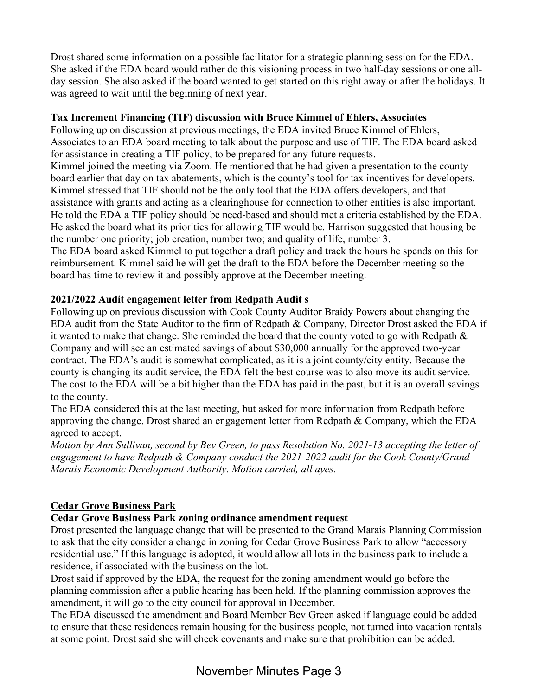Drost shared some information on a possible facilitator for a strategic planning session for the EDA. She asked if the EDA board would rather do this visioning process in two half-day sessions or one allday session. She also asked if the board wanted to get started on this right away or after the holidays. It was agreed to wait until the beginning of next year.

### **Tax Increment Financing (TIF) discussion with Bruce Kimmel of Ehlers, Associates**

Following up on discussion at previous meetings, the EDA invited Bruce Kimmel of Ehlers, Associates to an EDA board meeting to talk about the purpose and use of TIF. The EDA board asked for assistance in creating a TIF policy, to be prepared for any future requests.

Kimmel joined the meeting via Zoom. He mentioned that he had given a presentation to the county board earlier that day on tax abatements, which is the county's tool for tax incentives for developers. Kimmel stressed that TIF should not be the only tool that the EDA offers developers, and that assistance with grants and acting as a clearinghouse for connection to other entities is also important. He told the EDA a TIF policy should be need-based and should met a criteria established by the EDA. He asked the board what its priorities for allowing TIF would be. Harrison suggested that housing be the number one priority; job creation, number two; and quality of life, number 3.

The EDA board asked Kimmel to put together a draft policy and track the hours he spends on this for reimbursement. Kimmel said he will get the draft to the EDA before the December meeting so the board has time to review it and possibly approve at the December meeting.

## **2021/2022 Audit engagement letter from Redpath Audit s**

Following up on previous discussion with Cook County Auditor Braidy Powers about changing the EDA audit from the State Auditor to the firm of Redpath & Company, Director Drost asked the EDA if it wanted to make that change. She reminded the board that the county voted to go with Redpath  $\&$ Company and will see an estimated savings of about \$30,000 annually for the approved two-year contract. The EDA's audit is somewhat complicated, as it is a joint county/city entity. Because the county is changing its audit service, the EDA felt the best course was to also move its audit service. The cost to the EDA will be a bit higher than the EDA has paid in the past, but it is an overall savings to the county.

The EDA considered this at the last meeting, but asked for more information from Redpath before approving the change. Drost shared an engagement letter from Redpath & Company, which the EDA agreed to accept.

*Motion by Ann Sullivan, second by Bev Green, to pass Resolution No. 2021-13 accepting the letter of engagement to have Redpath & Company conduct the 2021-2022 audit for the Cook County/Grand Marais Economic Development Authority. Motion carried, all ayes.* 

## **Cedar Grove Business Park**

## **Cedar Grove Business Park zoning ordinance amendment request**

Drost presented the language change that will be presented to the Grand Marais Planning Commission to ask that the city consider a change in zoning for Cedar Grove Business Park to allow "accessory residential use." If this language is adopted, it would allow all lots in the business park to include a residence, if associated with the business on the lot.

Drost said if approved by the EDA, the request for the zoning amendment would go before the planning commission after a public hearing has been held. If the planning commission approves the amendment, it will go to the city council for approval in December.

The EDA discussed the amendment and Board Member Bev Green asked if language could be added to ensure that these residences remain housing for the business people, not turned into vacation rentals at some point. Drost said she will check covenants and make sure that prohibition can be added.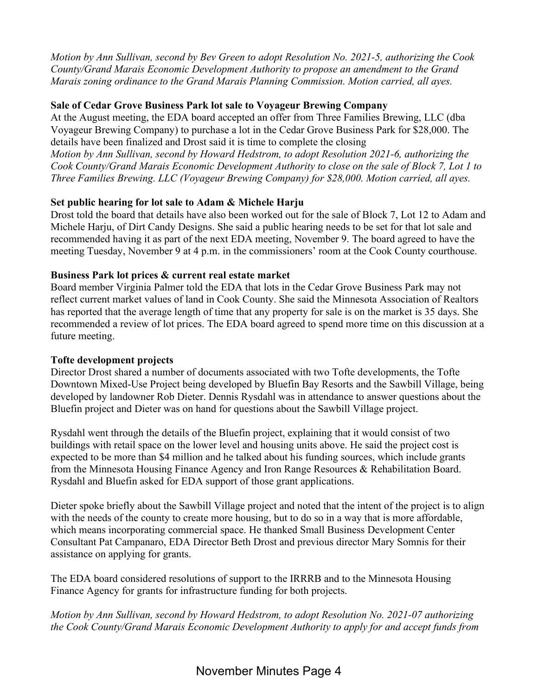*Motion by Ann Sullivan, second by Bev Green to adopt Resolution No. 2021-5, authorizing the Cook County/Grand Marais Economic Development Authority to propose an amendment to the Grand Marais zoning ordinance to the Grand Marais Planning Commission. Motion carried, all ayes.* 

### **Sale of Cedar Grove Business Park lot sale to Voyageur Brewing Company**

At the August meeting, the EDA board accepted an offer from Three Families Brewing, LLC (dba Voyageur Brewing Company) to purchase a lot in the Cedar Grove Business Park for \$28,000. The details have been finalized and Drost said it is time to complete the closing

*Motion by Ann Sullivan, second by Howard Hedstrom, to adopt Resolution 2021-6, authorizing the Cook County/Grand Marais Economic Development Authority to close on the sale of Block 7, Lot 1 to Three Families Brewing. LLC (Voyageur Brewing Company) for \$28,000. Motion carried, all ayes.* 

#### **Set public hearing for lot sale to Adam & Michele Harju**

Drost told the board that details have also been worked out for the sale of Block 7, Lot 12 to Adam and Michele Harju, of Dirt Candy Designs. She said a public hearing needs to be set for that lot sale and recommended having it as part of the next EDA meeting, November 9. The board agreed to have the meeting Tuesday, November 9 at 4 p.m. in the commissioners' room at the Cook County courthouse.

#### **Business Park lot prices & current real estate market**

Board member Virginia Palmer told the EDA that lots in the Cedar Grove Business Park may not reflect current market values of land in Cook County. She said the Minnesota Association of Realtors has reported that the average length of time that any property for sale is on the market is 35 days. She recommended a review of lot prices. The EDA board agreed to spend more time on this discussion at a future meeting.

#### **Tofte development projects**

Director Drost shared a number of documents associated with two Tofte developments, the Tofte Downtown Mixed-Use Project being developed by Bluefin Bay Resorts and the Sawbill Village, being developed by landowner Rob Dieter. Dennis Rysdahl was in attendance to answer questions about the Bluefin project and Dieter was on hand for questions about the Sawbill Village project.

Rysdahl went through the details of the Bluefin project, explaining that it would consist of two buildings with retail space on the lower level and housing units above. He said the project cost is expected to be more than \$4 million and he talked about his funding sources, which include grants from the Minnesota Housing Finance Agency and Iron Range Resources & Rehabilitation Board. Rysdahl and Bluefin asked for EDA support of those grant applications.

Dieter spoke briefly about the Sawbill Village project and noted that the intent of the project is to align with the needs of the county to create more housing, but to do so in a way that is more affordable, which means incorporating commercial space. He thanked Small Business Development Center Consultant Pat Campanaro, EDA Director Beth Drost and previous director Mary Somnis for their assistance on applying for grants.

The EDA board considered resolutions of support to the IRRRB and to the Minnesota Housing Finance Agency for grants for infrastructure funding for both projects.

*Motion by Ann Sullivan, second by Howard Hedstrom, to adopt Resolution No. 2021-07 authorizing the Cook County/Grand Marais Economic Development Authority to apply for and accept funds from*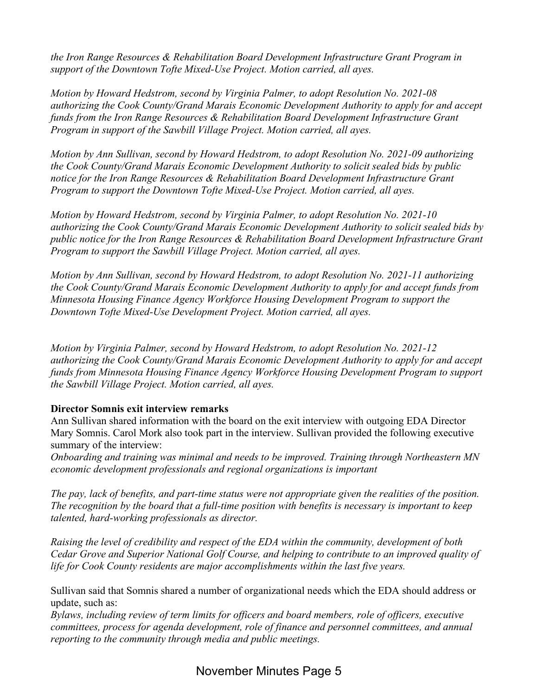*the Iron Range Resources & Rehabilitation Board Development Infrastructure Grant Program in support of the Downtown Tofte Mixed-Use Project. Motion carried, all ayes.* 

*Motion by Howard Hedstrom, second by Virginia Palmer, to adopt Resolution No. 2021-08 authorizing the Cook County/Grand Marais Economic Development Authority to apply for and accept funds from the Iron Range Resources & Rehabilitation Board Development Infrastructure Grant Program in support of the Sawbill Village Project. Motion carried, all ayes.* 

*Motion by Ann Sullivan, second by Howard Hedstrom, to adopt Resolution No. 2021-09 authorizing the Cook County/Grand Marais Economic Development Authority to solicit sealed bids by public notice for the Iron Range Resources & Rehabilitation Board Development Infrastructure Grant Program to support the Downtown Tofte Mixed-Use Project. Motion carried, all ayes.* 

*Motion by Howard Hedstrom, second by Virginia Palmer, to adopt Resolution No. 2021-10 authorizing the Cook County/Grand Marais Economic Development Authority to solicit sealed bids by public notice for the Iron Range Resources & Rehabilitation Board Development Infrastructure Grant Program to support the Sawbill Village Project. Motion carried, all ayes.* 

*Motion by Ann Sullivan, second by Howard Hedstrom, to adopt Resolution No. 2021-11 authorizing the Cook County/Grand Marais Economic Development Authority to apply for and accept funds from Minnesota Housing Finance Agency Workforce Housing Development Program to support the Downtown Tofte Mixed-Use Development Project. Motion carried, all ayes.* 

*Motion by Virginia Palmer, second by Howard Hedstrom, to adopt Resolution No. 2021-12 authorizing the Cook County/Grand Marais Economic Development Authority to apply for and accept funds from Minnesota Housing Finance Agency Workforce Housing Development Program to support the Sawbill Village Project. Motion carried, all ayes.* 

#### **Director Somnis exit interview remarks**

Ann Sullivan shared information with the board on the exit interview with outgoing EDA Director Mary Somnis. Carol Mork also took part in the interview. Sullivan provided the following executive summary of the interview:

*Onboarding and training was minimal and needs to be improved. Training through Northeastern MN economic development professionals and regional organizations is important* 

*The pay, lack of benefits, and part-time status were not appropriate given the realities of the position. The recognition by the board that a full-time position with benefits is necessary is important to keep talented, hard-working professionals as director.* 

*Raising the level of credibility and respect of the EDA within the community, development of both Cedar Grove and Superior National Golf Course, and helping to contribute to an improved quality of life for Cook County residents are major accomplishments within the last five years.* 

Sullivan said that Somnis shared a number of organizational needs which the EDA should address or update, such as:

*Bylaws, including review of term limits for officers and board members, role of officers, executive committees, process for agenda development, role of finance and personnel committees, and annual reporting to the community through media and public meetings.* 

November Minutes Page 5